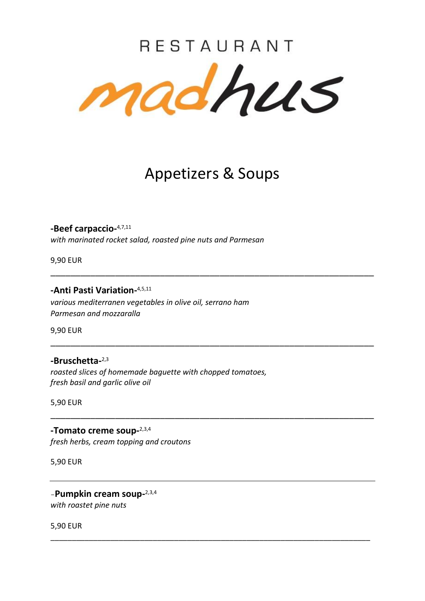# RESTAURANT madhus

### Appetizers & Soups

\_\_\_\_\_\_\_\_\_\_\_\_\_\_\_\_\_\_\_\_\_\_\_\_\_\_\_\_\_\_\_\_\_\_\_\_\_\_\_\_\_\_\_\_\_\_\_\_\_\_\_\_\_\_\_\_\_\_\_\_\_\_\_\_\_

\_\_\_\_\_\_\_\_\_\_\_\_\_\_\_\_\_\_\_\_\_\_\_\_\_\_\_\_\_\_\_\_\_\_\_\_\_\_\_\_\_\_\_\_\_\_\_\_\_\_\_\_\_\_\_\_\_\_\_\_\_\_\_\_\_

\_\_\_\_\_\_\_\_\_\_\_\_\_\_\_\_\_\_\_\_\_\_\_\_\_\_\_\_\_\_\_\_\_\_\_\_\_\_\_\_\_\_\_\_\_\_\_\_\_\_\_\_\_\_\_\_\_\_\_\_\_\_\_\_\_

\_\_\_\_\_\_\_\_\_\_\_\_\_\_\_\_\_\_\_\_\_\_\_\_\_\_\_\_\_\_\_\_\_\_\_\_\_\_\_\_\_\_\_\_\_\_\_\_\_\_\_\_\_\_\_\_\_\_\_\_\_\_\_\_\_\_\_\_\_\_\_\_\_\_\_

**-Beef carpaccio-**4,7,11 *with marinated rocket salad, roasted pine nuts and Parmesan*

9,90 EUR

**-Anti Pasti Variation-**4,5,11

*various mediterranen vegetables in olive oil, serrano ham Parmesan and mozzaralla*

9,90 EUR

### **-Bruschetta-**2,3

*roasted slices of homemade baguette with chopped tomatoes, fresh basil and garlic olive oil*

5,90 EUR

**-Tomato creme soup-**2,3,4 *fresh herbs, cream topping and croutons*

5,90 EUR

-**Pumpkin cream soup-**2,3,4 *with roastet pine nuts*

5,90 EUR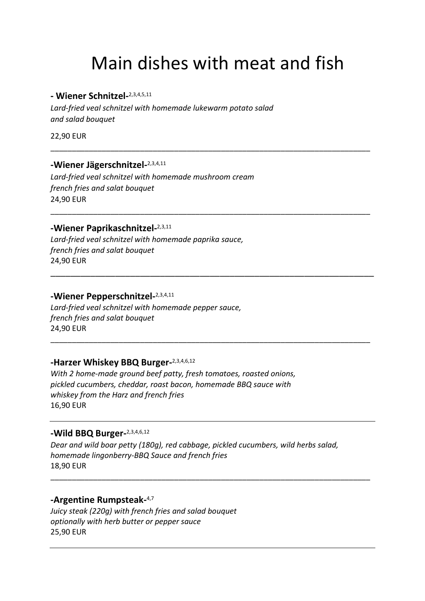# Main dishes with meat and fish

\_\_\_\_\_\_\_\_\_\_\_\_\_\_\_\_\_\_\_\_\_\_\_\_\_\_\_\_\_\_\_\_\_\_\_\_\_\_\_\_\_\_\_\_\_\_\_\_\_\_\_\_\_\_\_\_\_\_\_\_\_\_\_\_\_\_\_\_\_\_\_\_\_\_\_

\_\_\_\_\_\_\_\_\_\_\_\_\_\_\_\_\_\_\_\_\_\_\_\_\_\_\_\_\_\_\_\_\_\_\_\_\_\_\_\_\_\_\_\_\_\_\_\_\_\_\_\_\_\_\_\_\_\_\_\_\_\_\_\_\_\_\_\_\_\_\_\_\_\_\_

\_\_\_\_\_\_\_\_\_\_\_\_\_\_\_\_\_\_\_\_\_\_\_\_\_\_\_\_\_\_\_\_\_\_\_\_\_\_\_\_\_\_\_\_\_\_\_\_\_\_\_\_\_\_\_\_\_\_\_\_\_\_\_\_\_

\_\_\_\_\_\_\_\_\_\_\_\_\_\_\_\_\_\_\_\_\_\_\_\_\_\_\_\_\_\_\_\_\_\_\_\_\_\_\_\_\_\_\_\_\_\_\_\_\_\_\_\_\_\_\_\_\_\_\_\_\_\_\_\_\_\_\_\_\_\_\_\_\_\_\_

### **- Wiener Schnitzel-**2,3,4,5,11

*Lard-fried veal schnitzel with homemade lukewarm potato salad and salad bouquet*

22,90 EUR

### **-Wiener Jägerschnitzel-**2,3,4,11

*Lard-fried veal schnitzel with homemade mushroom cream french fries and salat bouquet*  24,90 EUR

### **-Wiener Paprikaschnitzel-**2,3,11

*Lard-fried veal schnitzel with homemade paprika sauce, french fries and salat bouquet* 24,90 EUR

### **-Wiener Pepperschnitzel-**2,3,4,11

*Lard-fried veal schnitzel with homemade pepper sauce, french fries and salat bouquet* 24,90 EUR

### **-Harzer Whiskey BBQ Burger-**2,3,4,6,12

*With 2 home-made ground beef patty, fresh tomatoes, roasted onions, pickled cucumbers, cheddar, roast bacon, homemade BBQ sauce with whiskey from the Harz and french fries* 16,90 EUR

### **-Wild BBQ Burger-**2,3,4,6,12

*Dear and wild boar petty (180g), red cabbage, pickled cucumbers, wild herbs salad, homemade lingonberry-BBQ Sauce and french fries* 18,90 EUR

\_\_\_\_\_\_\_\_\_\_\_\_\_\_\_\_\_\_\_\_\_\_\_\_\_\_\_\_\_\_\_\_\_\_\_\_\_\_\_\_\_\_\_\_\_\_\_\_\_\_\_\_\_\_\_\_\_\_\_\_\_\_\_\_\_\_\_\_\_\_\_\_\_\_\_

### **-Argentine Rumpsteak-**4,7

*Juicy steak (220g) with french fries and salad bouquet optionally with herb butter or pepper sauce* 25,90 EUR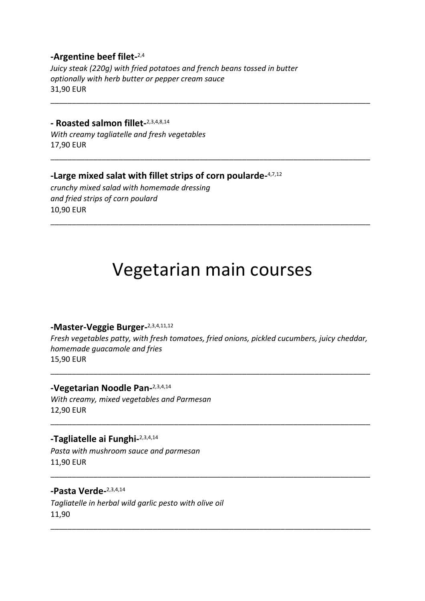### **-Argentine beef filet-**2,4

*Juicy steak (220g) with fried potatoes and french beans tossed in butter optionally with herb butter or pepper cream sauce* 31,90 EUR

### **- Roasted salmon fillet-**2,3,4,8,14

*With creamy tagliatelle and fresh vegetables* 17,90 EUR

### **-Large mixed salat with fillet strips of corn poularde-**4,7,12

*crunchy mixed salad with homemade dressing and fried strips of corn poulard* 10,90 EUR

### Vegetarian main courses

\_\_\_\_\_\_\_\_\_\_\_\_\_\_\_\_\_\_\_\_\_\_\_\_\_\_\_\_\_\_\_\_\_\_\_\_\_\_\_\_\_\_\_\_\_\_\_\_\_\_\_\_\_\_\_\_\_\_\_\_\_\_\_\_\_\_\_\_\_\_\_\_\_\_\_

\_\_\_\_\_\_\_\_\_\_\_\_\_\_\_\_\_\_\_\_\_\_\_\_\_\_\_\_\_\_\_\_\_\_\_\_\_\_\_\_\_\_\_\_\_\_\_\_\_\_\_\_\_\_\_\_\_\_\_\_\_\_\_\_\_\_\_\_\_\_\_\_\_\_\_

\_\_\_\_\_\_\_\_\_\_\_\_\_\_\_\_\_\_\_\_\_\_\_\_\_\_\_\_\_\_\_\_\_\_\_\_\_\_\_\_\_\_\_\_\_\_\_\_\_\_\_\_\_\_\_\_\_\_\_\_\_\_\_\_\_\_\_\_\_\_\_\_\_\_\_

### **-Master-Veggie Burger-**2,3,4,11,12

*Fresh vegetables patty, with fresh tomatoes, fried onions, pickled cucumbers, juicy cheddar, homemade guacamole and fries* 15,90 EUR

\_\_\_\_\_\_\_\_\_\_\_\_\_\_\_\_\_\_\_\_\_\_\_\_\_\_\_\_\_\_\_\_\_\_\_\_\_\_\_\_\_\_\_\_\_\_\_\_\_\_\_\_\_\_\_\_\_\_\_\_\_\_\_\_\_\_\_\_\_\_\_\_\_\_\_

\_\_\_\_\_\_\_\_\_\_\_\_\_\_\_\_\_\_\_\_\_\_\_\_\_\_\_\_\_\_\_\_\_\_\_\_\_\_\_\_\_\_\_\_\_\_\_\_\_\_\_\_\_\_\_\_\_\_\_\_\_\_\_\_\_\_\_\_\_\_\_\_\_\_\_

\_\_\_\_\_\_\_\_\_\_\_\_\_\_\_\_\_\_\_\_\_\_\_\_\_\_\_\_\_\_\_\_\_\_\_\_\_\_\_\_\_\_\_\_\_\_\_\_\_\_\_\_\_\_\_\_\_\_\_\_\_\_\_\_\_\_\_\_\_\_\_\_\_\_\_

\_\_\_\_\_\_\_\_\_\_\_\_\_\_\_\_\_\_\_\_\_\_\_\_\_\_\_\_\_\_\_\_\_\_\_\_\_\_\_\_\_\_\_\_\_\_\_\_\_\_\_\_\_\_\_\_\_\_\_\_\_\_\_\_\_\_\_\_\_\_\_\_\_\_\_

### **-Vegetarian Noodle Pan-**2,3,4,14

*With creamy, mixed vegetables and Parmesan* 12,90 EUR

### **-Tagliatelle ai Funghi-**2,3,4,14

*Pasta with mushroom sauce and parmesan* 11,90 EUR

#### **-Pasta Verde-**2,3,4,14

*Tagliatelle in herbal wild garlic pesto with olive oil* 11,90